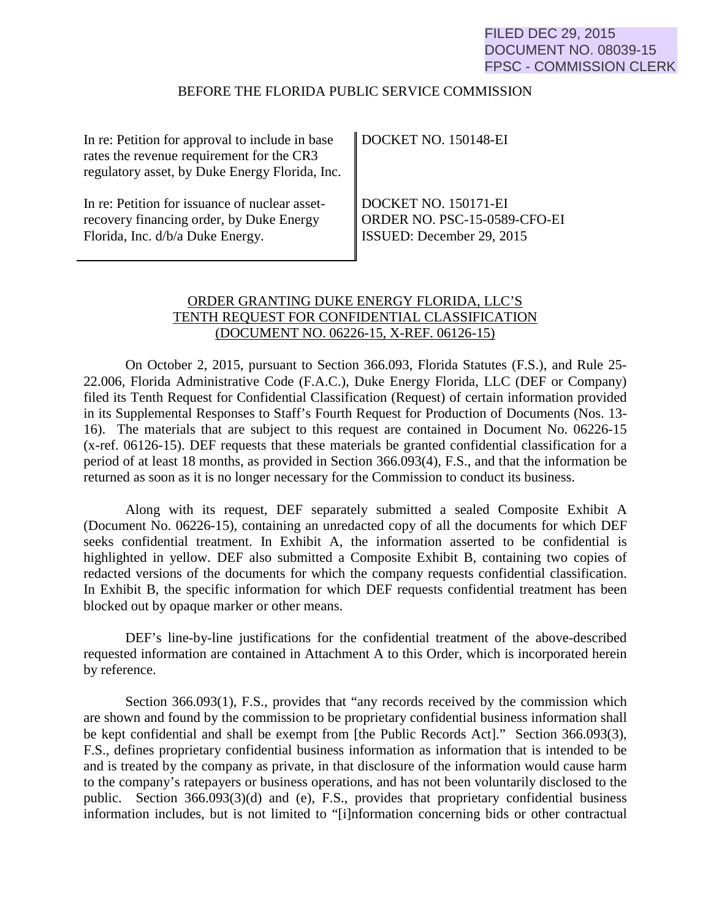# FILED DEC 29, 2015 DOCUMENT NO. 08039-15 FPSC - COMMISSION CLERK

### BEFORE THE FLORIDA PUBLIC SERVICE COMMISSION

| In re: Petition for approval to include in base<br>rates the revenue requirement for the CR3<br>regulatory asset, by Duke Energy Florida, Inc. | DOCKET NO. 150148-EI         |
|------------------------------------------------------------------------------------------------------------------------------------------------|------------------------------|
| In re: Petition for issuance of nuclear asset-                                                                                                 | DOCKET NO. 150171-EI         |
| recovery financing order, by Duke Energy                                                                                                       | ORDER NO. PSC-15-0589-CFO-EI |
| Florida, Inc. d/b/a Duke Energy.                                                                                                               | ISSUED: December 29, 2015    |

# ORDER GRANTING DUKE ENERGY FLORIDA, LLC'S TENTH REQUEST FOR CONFIDENTIAL CLASSIFICATION (DOCUMENT NO. 06226-15, X-REF. 06126-15)

On October 2, 2015, pursuant to Section 366.093, Florida Statutes (F.S.), and Rule 25- 22.006, Florida Administrative Code (F.A.C.), Duke Energy Florida, LLC (DEF or Company) filed its Tenth Request for Confidential Classification (Request) of certain information provided in its Supplemental Responses to Staff's Fourth Request for Production of Documents (Nos. 13- 16). The materials that are subject to this request are contained in Document No. 06226-15 (x-ref. 06126-15). DEF requests that these materials be granted confidential classification for a period of at least 18 months, as provided in Section 366.093(4), F.S., and that the information be returned as soon as it is no longer necessary for the Commission to conduct its business.

Along with its request, DEF separately submitted a sealed Composite Exhibit A (Document No. 06226-15), containing an unredacted copy of all the documents for which DEF seeks confidential treatment. In Exhibit A, the information asserted to be confidential is highlighted in yellow. DEF also submitted a Composite Exhibit B, containing two copies of redacted versions of the documents for which the company requests confidential classification. In Exhibit B, the specific information for which DEF requests confidential treatment has been blocked out by opaque marker or other means.

DEF's line-by-line justifications for the confidential treatment of the above-described requested information are contained in Attachment A to this Order, which is incorporated herein by reference.

Section 366.093(1), F.S., provides that "any records received by the commission which are shown and found by the commission to be proprietary confidential business information shall be kept confidential and shall be exempt from [the Public Records Act]." Section 366.093(3), F.S., defines proprietary confidential business information as information that is intended to be and is treated by the company as private, in that disclosure of the information would cause harm to the company's ratepayers or business operations, and has not been voluntarily disclosed to the public. Section 366.093(3)(d) and (e), F.S., provides that proprietary confidential business information includes, but is not limited to "[i]nformation concerning bids or other contractual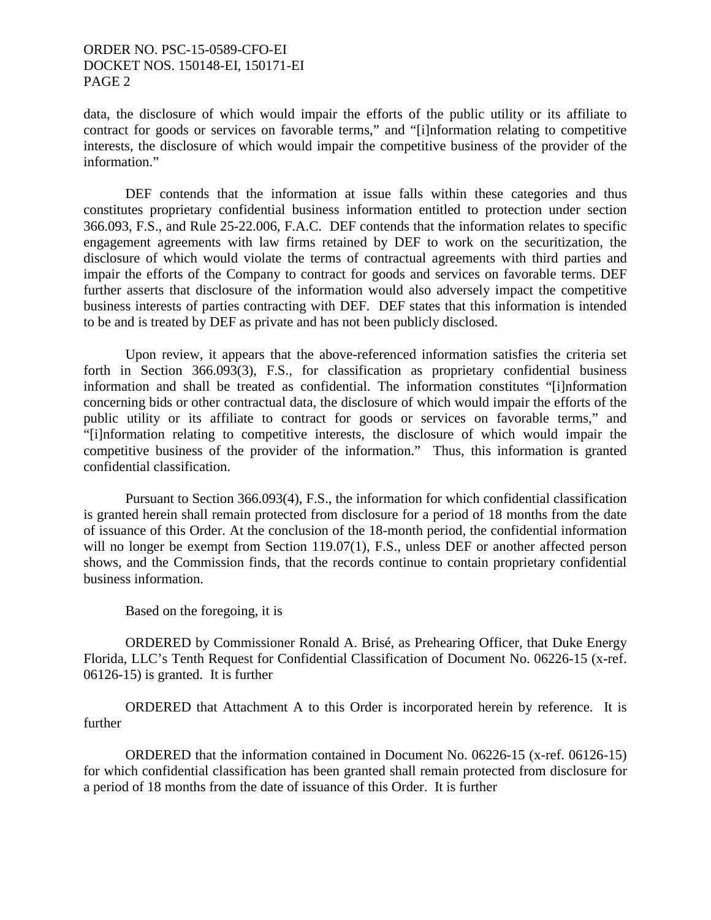# ORDER NO. PSC-15-0589-CFO-EI DOCKET NOS. 150148-EI, 150171-EI PAGE 2

data, the disclosure of which would impair the efforts of the public utility or its affiliate to contract for goods or services on favorable terms," and "[i]nformation relating to competitive interests, the disclosure of which would impair the competitive business of the provider of the information."

 DEF contends that the information at issue falls within these categories and thus constitutes proprietary confidential business information entitled to protection under section 366.093, F.S., and Rule 25-22.006, F.A.C. DEF contends that the information relates to specific engagement agreements with law firms retained by DEF to work on the securitization, the disclosure of which would violate the terms of contractual agreements with third parties and impair the efforts of the Company to contract for goods and services on favorable terms. DEF further asserts that disclosure of the information would also adversely impact the competitive business interests of parties contracting with DEF. DEF states that this information is intended to be and is treated by DEF as private and has not been publicly disclosed.

 Upon review, it appears that the above-referenced information satisfies the criteria set forth in Section 366.093(3), F.S., for classification as proprietary confidential business information and shall be treated as confidential. The information constitutes "[i]nformation concerning bids or other contractual data, the disclosure of which would impair the efforts of the public utility or its affiliate to contract for goods or services on favorable terms," and "[i]nformation relating to competitive interests, the disclosure of which would impair the competitive business of the provider of the information." Thus, this information is granted confidential classification.

 Pursuant to Section 366.093(4), F.S., the information for which confidential classification is granted herein shall remain protected from disclosure for a period of 18 months from the date of issuance of this Order. At the conclusion of the 18-month period, the confidential information will no longer be exempt from Section 119.07(1), F.S., unless DEF or another affected person shows, and the Commission finds, that the records continue to contain proprietary confidential business information.

Based on the foregoing, it is

 ORDERED by Commissioner Ronald A. Brisé, as Prehearing Officer, that Duke Energy Florida, LLC's Tenth Request for Confidential Classification of Document No. 06226-15 (x-ref. 06126-15) is granted. It is further

 ORDERED that Attachment A to this Order is incorporated herein by reference. It is further

 ORDERED that the information contained in Document No. 06226-15 (x-ref. 06126-15) for which confidential classification has been granted shall remain protected from disclosure for a period of 18 months from the date of issuance of this Order. It is further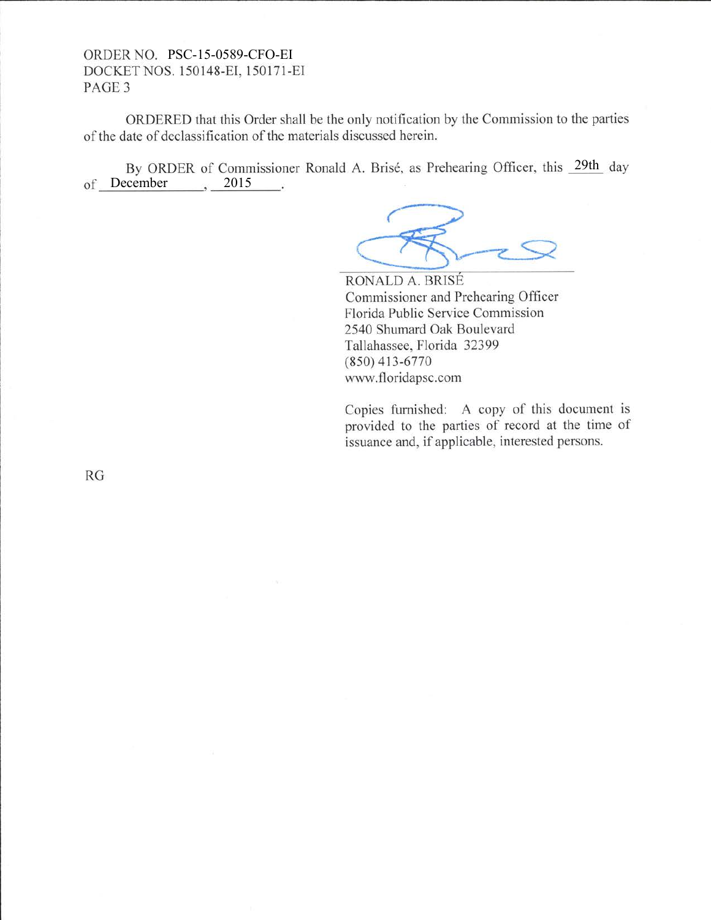### ORDER NO. PSC-15-0589-CFO-EIDOCKET NOS. 1 50148-EI. I 50171-EI PAGE 3

ORDERED that this Order shall be the only notification by the Commission to the parties of the date of declassification of the materials discussed herein.

By ORDER of Commissioner Ronald A. Brisé, as Prehearing Officer, this 29th day of December 3015  $\sim$ 

RONALD A. BRISE Commissioner and Prehearing Officer Florida Public Service Commission 2540 Shumard Oak Boulevard Tallahassee, Florida 32399 (8s0) 413-6770 www.floridapsc.com

Copies furnished: A copy of this document is provided to the parties of record at the time of issuance and, if applicable, interested persons.

RG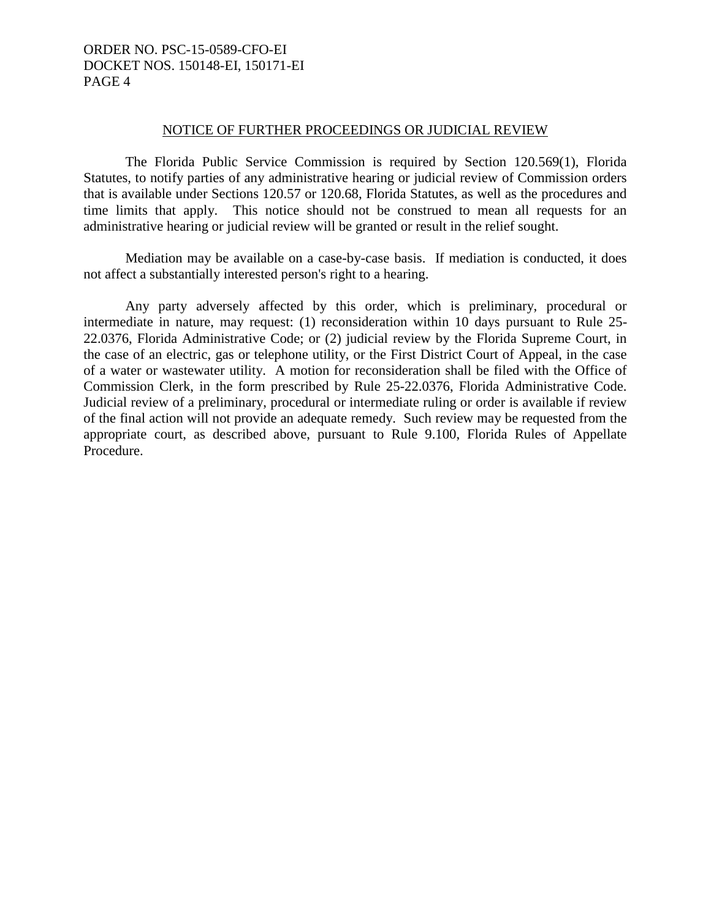# ORDER NO. PSC-15-0589-CFO-EI DOCKET NOS. 150148-EI, 150171-EI PAGE 4

#### NOTICE OF FURTHER PROCEEDINGS OR JUDICIAL REVIEW

 The Florida Public Service Commission is required by Section 120.569(1), Florida Statutes, to notify parties of any administrative hearing or judicial review of Commission orders that is available under Sections 120.57 or 120.68, Florida Statutes, as well as the procedures and time limits that apply. This notice should not be construed to mean all requests for an administrative hearing or judicial review will be granted or result in the relief sought.

 Mediation may be available on a case-by-case basis. If mediation is conducted, it does not affect a substantially interested person's right to a hearing.

 Any party adversely affected by this order, which is preliminary, procedural or intermediate in nature, may request: (1) reconsideration within 10 days pursuant to Rule 25- 22.0376, Florida Administrative Code; or (2) judicial review by the Florida Supreme Court, in the case of an electric, gas or telephone utility, or the First District Court of Appeal, in the case of a water or wastewater utility. A motion for reconsideration shall be filed with the Office of Commission Clerk, in the form prescribed by Rule 25-22.0376, Florida Administrative Code. Judicial review of a preliminary, procedural or intermediate ruling or order is available if review of the final action will not provide an adequate remedy. Such review may be requested from the appropriate court, as described above, pursuant to Rule 9.100, Florida Rules of Appellate Procedure.